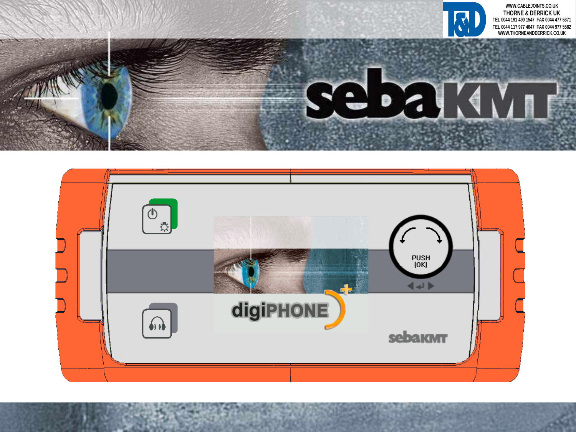

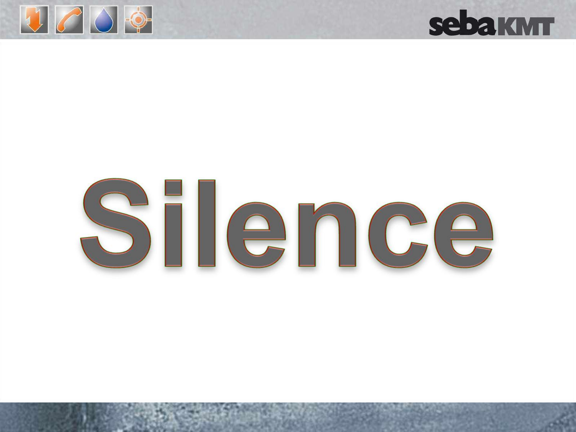

## **sebakMT**

# Silence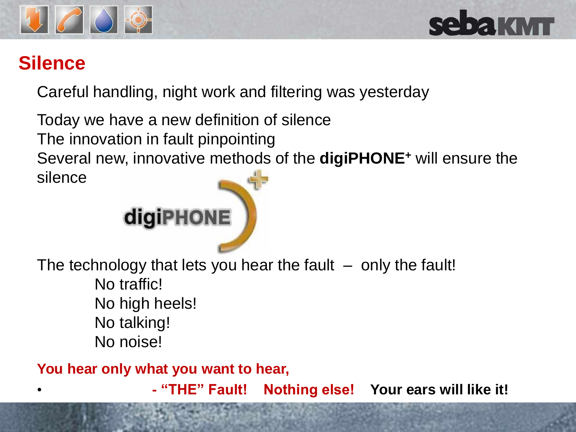



#### **Silence**

Careful handling, night work and filtering was yesterday

Today we have a new definition of silence The innovation in fault pinpointing Several new, innovative methods of the **digiPHONE<sup>+</sup>** will ensure the silence



The technology that lets you hear the fault  $-$  only the fault! No traffic! No high heels! No talking! No noise!

**You hear only what you want to hear,** 

• **- "THE" Fault! Nothing else! Your ears will like it!**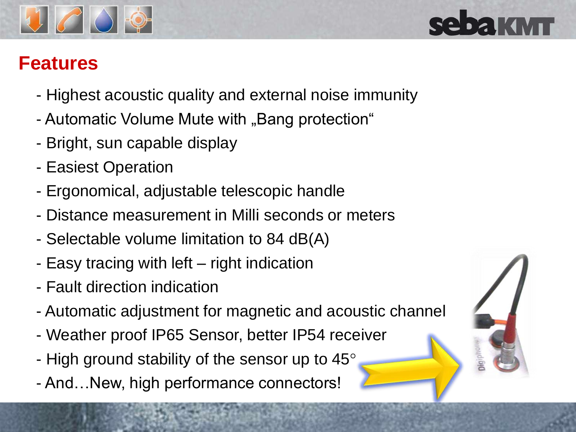

#### **Features**

- Highest acoustic quality and external noise immunity
- Automatic Volume Mute with "Bang protection"
- Bright, sun capable display
- Easiest Operation
- Ergonomical, adjustable telescopic handle
- Distance measurement in Milli seconds or meters
- Selectable volume limitation to 84 dB(A)
- Easy tracing with left right indication
- Fault direction indication
- Automatic adjustment for magnetic and acoustic channel
- Weather proof IP65 Sensor, better IP54 receiver
- High ground stability of the sensor up to 45 $^{\circ}$
- And…New, high performance connectors!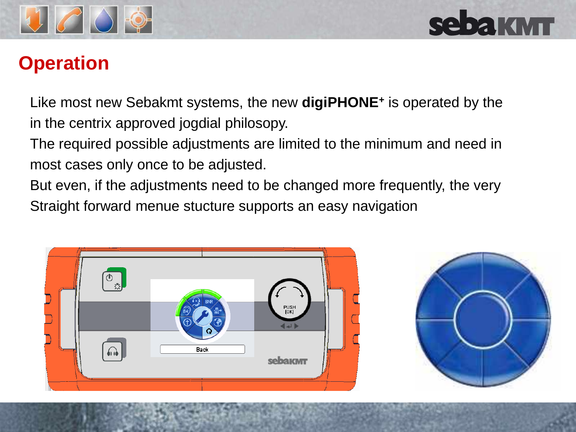



#### **Operation**

Like most new Sebakmt systems, the new **digiPHONE<sup>+</sup>** is operated by the in the centrix approved jogdial philosopy.

The required possible adjustments are limited to the minimum and need in most cases only once to be adjusted.

But even, if the adjustments need to be changed more frequently, the very Straight forward menue stucture supports an easy navigation



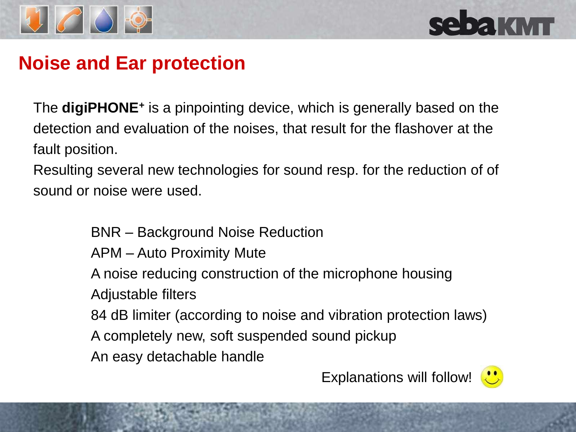

## **sebakwr**

#### **Noise and Ear protection**

The **digiPHONE<sup>+</sup>** is a pinpointing device, which is generally based on the detection and evaluation of the noises, that result for the flashover at the fault position.

Resulting several new technologies for sound resp. for the reduction of of sound or noise were used.

BNR – Background Noise Reduction

APM – Auto Proximity Mute

A noise reducing construction of the microphone housing

Adjustable filters

84 dB limiter (according to noise and vibration protection laws)

A completely new, soft suspended sound pickup

An easy detachable handle

Explanations will follow!

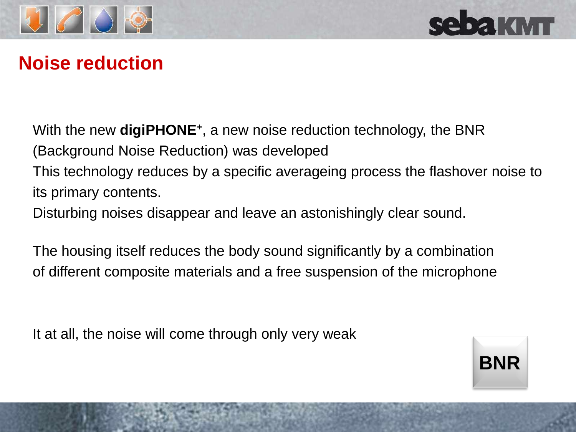



#### **Noise reduction**

With the new **digiPHONE**<sup>+</sup>, a new noise reduction technology, the BNR (Background Noise Reduction) was developed This technology reduces by a specific averageing process the flashover noise to its primary contents.

Disturbing noises disappear and leave an astonishingly clear sound.

The housing itself reduces the body sound significantly by a combination of different composite materials and a free suspension of the microphone

It at all, the noise will come through only very weak

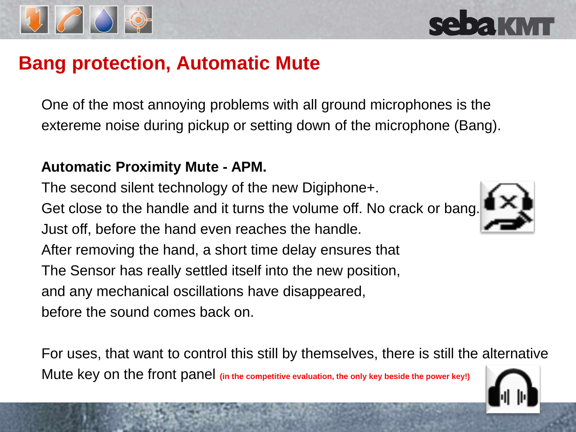

#### **Bang protection, Automatic Mute**

One of the most annoying problems with all ground microphones is the extereme noise during pickup or setting down of the microphone (Bang).

#### **Automatic Proximity Mute - APM.**

The second silent technology of the new Digiphone+.

Get close to the handle and it turns the volume off. No crack or bang. Just off, before the hand even reaches the handle.

After removing the hand, a short time delay ensures that The Sensor has really settled itself into the new position,

and any mechanical oscillations have disappeared,

before the sound comes back on.

For uses, that want to control this still by themselves, there is still the alternative Mute key on the front panel **(in the competitive evaluation, the only key beside the power key!)**



**sebakMT** 

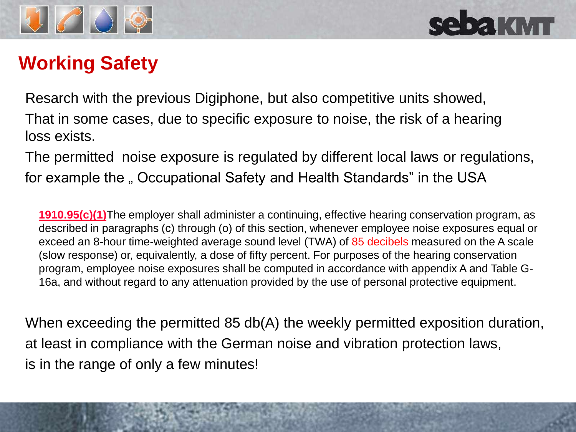

### **Working Safety**

Resarch with the previous Digiphone, but also competitive units showed, That in some cases, due to specific exposure to noise, the risk of a hearing loss exists.

The permitted noise exposure is regulated by different local laws or regulations, for example the " Occupational Safety and Health Standards" in the USA

**[1910.95\(c\)\(1\)](http://www.osha.gov/pls/oshaweb/owalink.query_links?src_doc_type=STANDARDS&src_unique_file=1910_0095&src_anchor_name=1910.95(c)(1))**The employer shall administer a continuing, effective hearing conservation program, as described in paragraphs (c) through (o) of this section, whenever employee noise exposures equal or exceed an 8-hour time-weighted average sound level (TWA) of 85 decibels measured on the A scale (slow response) or, equivalently, a dose of fifty percent. For purposes of the hearing conservation program, employee noise exposures shall be computed in accordance with appendix A and Table G-16a, and without regard to any attenuation provided by the use of personal protective equipment.

When exceeding the permitted 85 db(A) the weekly permitted exposition duration, at least in compliance with the German noise and vibration protection laws, is in the range of only a few minutes!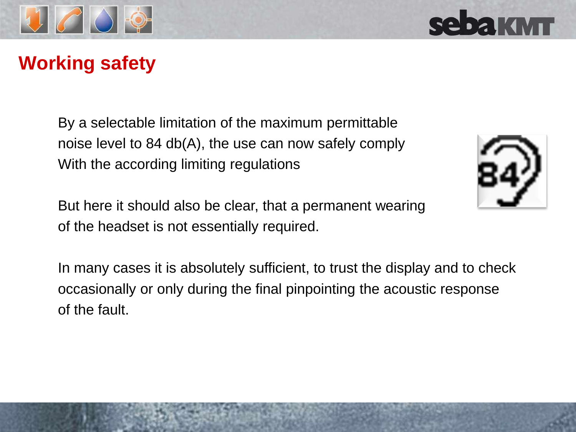

#### **Working safety**

By a selectable limitation of the maximum permittable noise level to 84 db(A), the use can now safely comply With the according limiting regulations



In many cases it is absolutely sufficient, to trust the display and to check occasionally or only during the final pinpointing the acoustic response of the fault.



**Sebaktvin**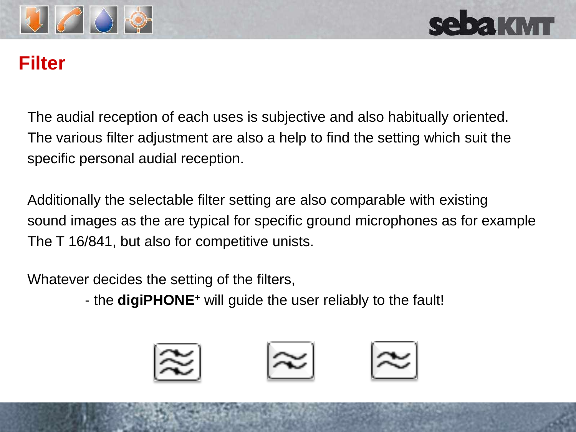



#### **Filter**

The audial reception of each uses is subjective and also habitually oriented. The various filter adjustment are also a help to find the setting which suit the specific personal audial reception.

Additionally the selectable filter setting are also comparable with existing sound images as the are typical for specific ground microphones as for example The T 16/841, but also for competitive unists.

Whatever decides the setting of the filters,

- the **digiPHONE<sup>+</sup>** will guide the user reliably to the fault!

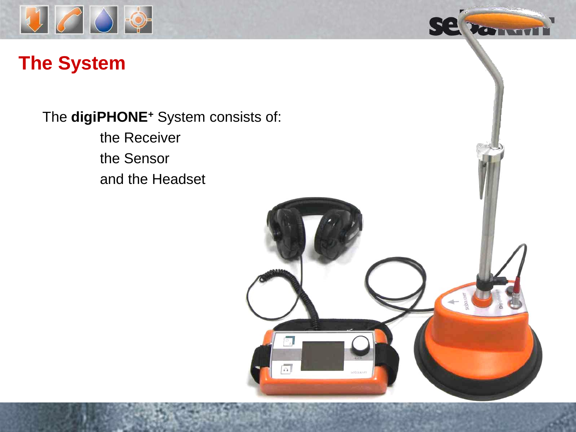

#### **The System**

The **digiPHONE<sup>+</sup>** System consists of:

the Receiver the Sensor and the Headset



We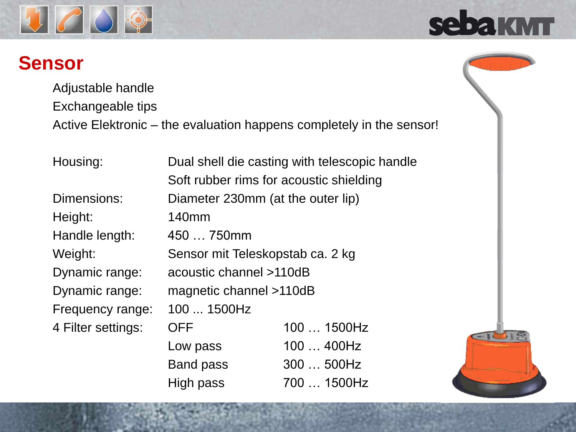

#### **Sensor**

Adjustable handle Exchangeable tips Active Elektronic – the evaluation happens completely in the sensor!

| Housing:           | Dual shell die casting with telescopic handle |                                         |
|--------------------|-----------------------------------------------|-----------------------------------------|
|                    |                                               | Soft rubber rims for acoustic shielding |
| Dimensions:        | Diameter 230mm (at the outer lip)             |                                         |
| Height:            | 140 <sub>mm</sub>                             |                                         |
| Handle length:     | 450  750mm                                    |                                         |
| Weight:            | Sensor mit Teleskopstab ca. 2 kg              |                                         |
| Dynamic range:     | acoustic channel >110dB                       |                                         |
| Dynamic range:     | magnetic channel >110dB                       |                                         |
| Frequency range:   | 100  1500Hz                                   |                                         |
| 4 Filter settings: | <b>OFF</b>                                    | 100  1500Hz                             |
|                    | Low pass                                      | 100  400Hz                              |
|                    | <b>Band pass</b>                              | 300  500Hz                              |

High pass 700 … 1500Hz



sebakm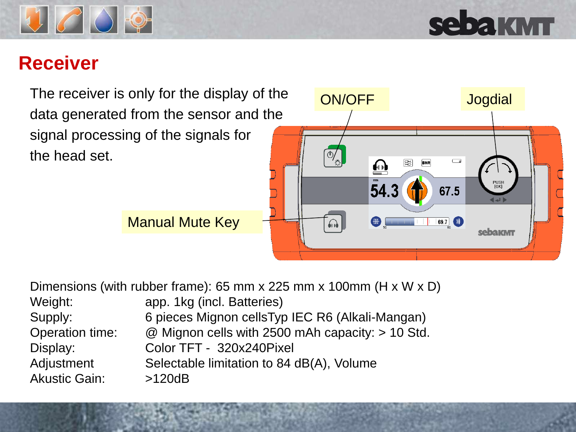

## **sebakMT**

#### **Receiver**

The receiver is only for the display of the data generated from the sensor and the signal processing of the signals for the head set.



| Dimensions (with rubber frame): 65 mm x 225 mm x 100mm ( $H \times W \times D$ ) |                                                  |  |
|----------------------------------------------------------------------------------|--------------------------------------------------|--|
| Weight:                                                                          | app. 1kg (incl. Batteries)                       |  |
| Supply:                                                                          | 6 pieces Mignon cellsTyp IEC R6 (Alkali-Mangan)  |  |
| Operation time:                                                                  | @ Mignon cells with 2500 mAh capacity: > 10 Std. |  |
| Display:                                                                         | Color TFT - 320x240Pixel                         |  |
| Adjustment                                                                       | Selectable limitation to 84 dB(A), Volume        |  |
| <b>Akustic Gain:</b>                                                             | >120dB                                           |  |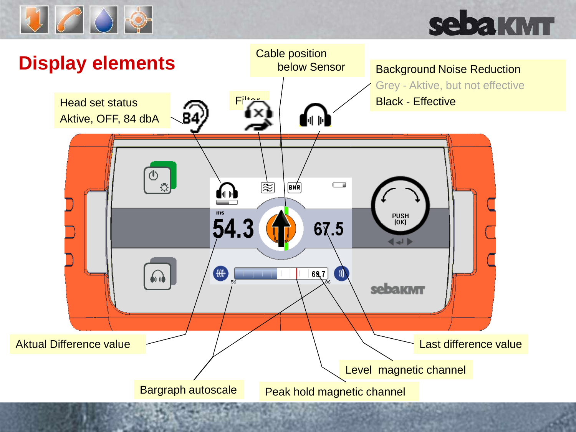

## **sebakMT**

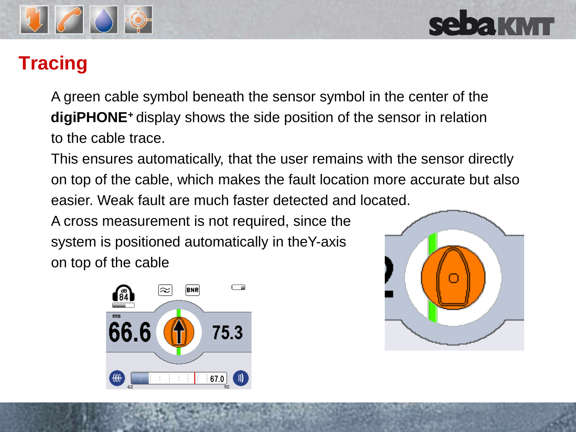

### **Tracing**

A green cable symbol beneath the sensor symbol in the center of the **digiPHONE<sup>+</sup>**display shows the side position of the sensor in relation to the cable trace.

This ensures automatically, that the user remains with the sensor directly on top of the cable, which makes the fault location more accurate but also easier. Weak fault are much faster detected and located.

A cross measurement is not required, since the system is positioned automatically in theY-axis on top of the cable



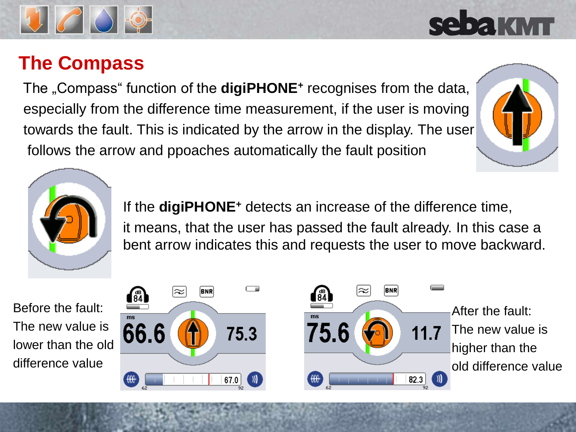#### **The Compass**

The "Compass" function of the **digiPHONE<sup>+</sup>** recognises from the data, especially from the difference time measurement, if the user is moving towards the fault. This is indicated by the arrow in the display. The user follows the arrow and ppoaches automatically the fault position

> If the **digiPHONE<sup>+</sup>** detects an increase of the difference time, it means, that the user has passed the fault already. In this case a bent arrow indicates this and requests the user to move backward.

Before the fault: The new value is lower than the old difference value







## **SABAKMT**